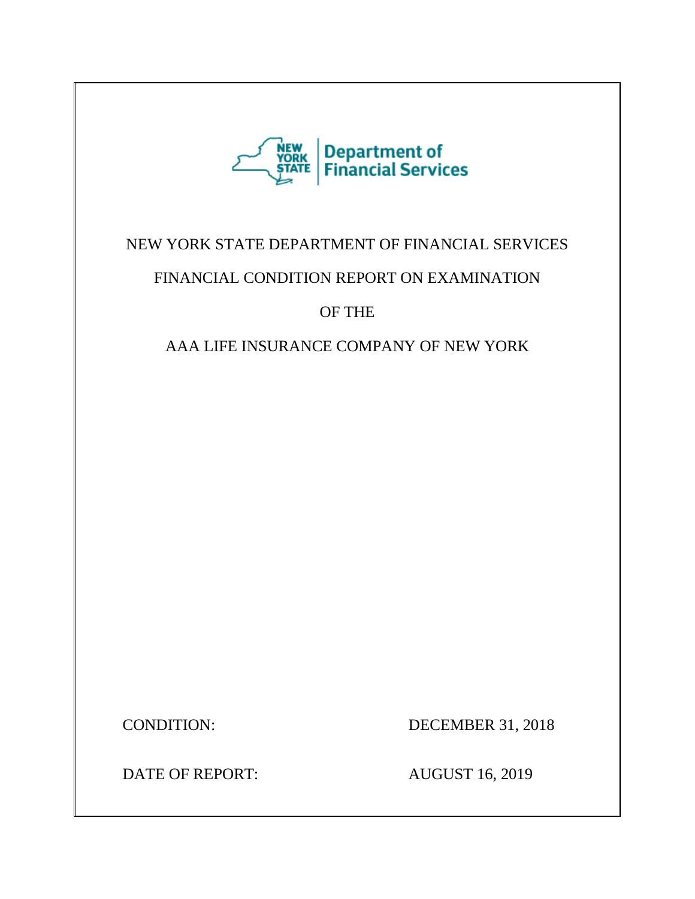

## NEW YORK STATE DEPARTMENT OF FINANCIAL SERVICES

## FINANCIAL CONDITION REPORT ON EXAMINATION

OF THE

AAA LIFE INSURANCE COMPANY OF NEW YORK

CONDITION: DECEMBER 31, 2018

DATE OF REPORT: AUGUST 16, 2019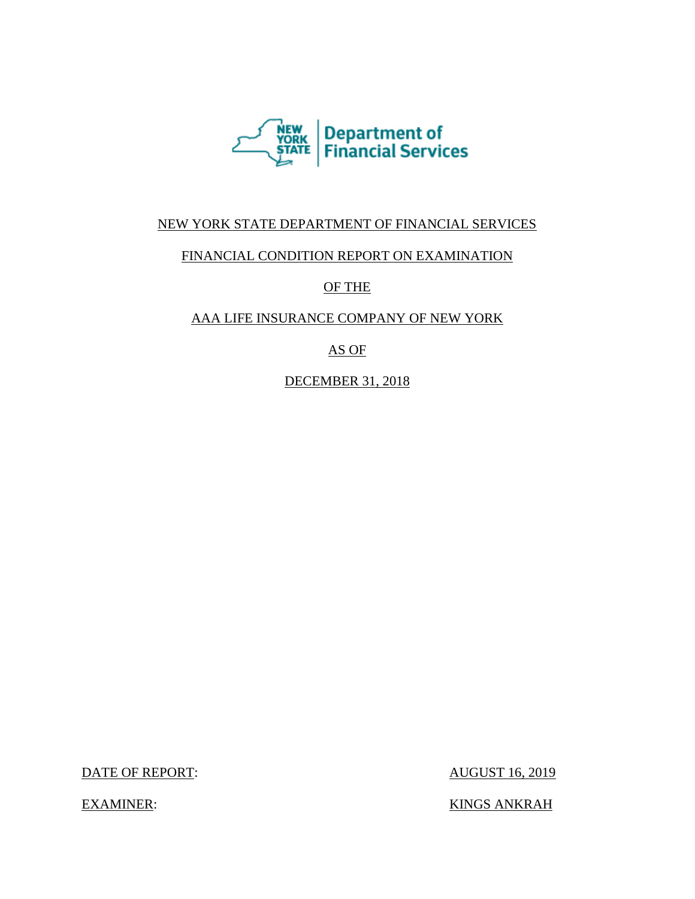

## NEW YORK STATE DEPARTMENT OF FINANCIAL SERVICES

## FINANCIAL CONDITION REPORT ON EXAMINATION

## OF THE

## AAA LIFE INSURANCE COMPANY OF NEW YORK

## AS OF

DECEMBER 31, 2018

DATE OF REPORT: AUGUST 16, 2019

EXAMINER: KINGS ANKRAH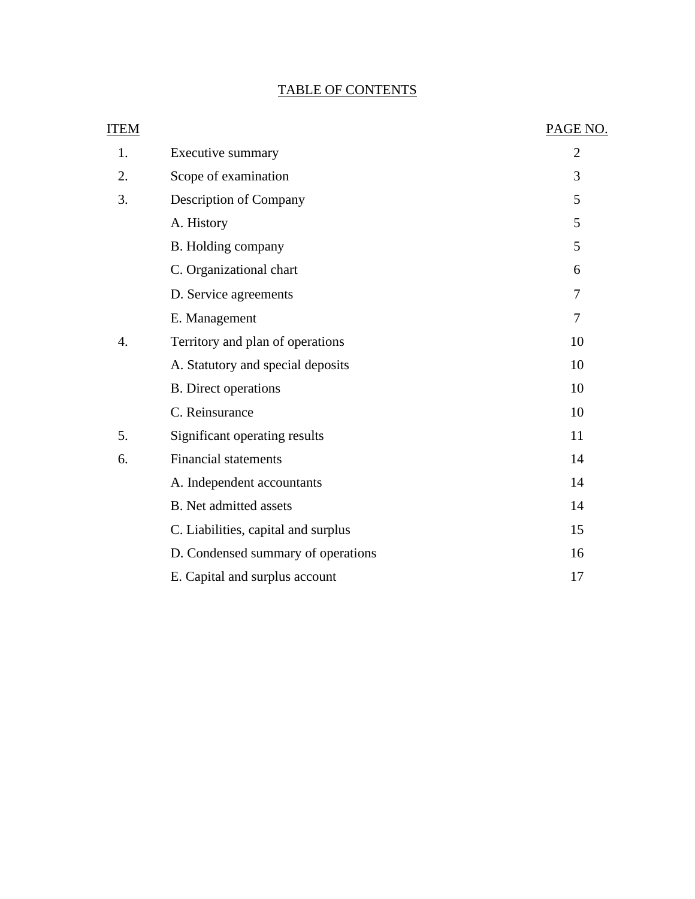## TABLE OF CONTENTS

| ITEM |                                     | PAGE NO.       |
|------|-------------------------------------|----------------|
| 1.   | Executive summary                   | $\overline{2}$ |
| 2.   | Scope of examination                | 3              |
| 3.   | Description of Company              | 5              |
|      | A. History                          | 5              |
|      | B. Holding company                  | 5              |
|      | C. Organizational chart             | 6              |
|      | D. Service agreements               | 7              |
|      | E. Management                       | $\overline{7}$ |
| 4.   | Territory and plan of operations    | 10             |
|      | A. Statutory and special deposits   | 10             |
|      | <b>B.</b> Direct operations         | 10             |
|      | C. Reinsurance                      | 10             |
| 5.   | Significant operating results       | 11             |
| 6.   | <b>Financial statements</b>         | 14             |
|      | A. Independent accountants          | 14             |
|      | <b>B.</b> Net admitted assets       | 14             |
|      | C. Liabilities, capital and surplus | 15             |
|      | D. Condensed summary of operations  | 16             |
|      | E. Capital and surplus account      | 17             |
|      |                                     |                |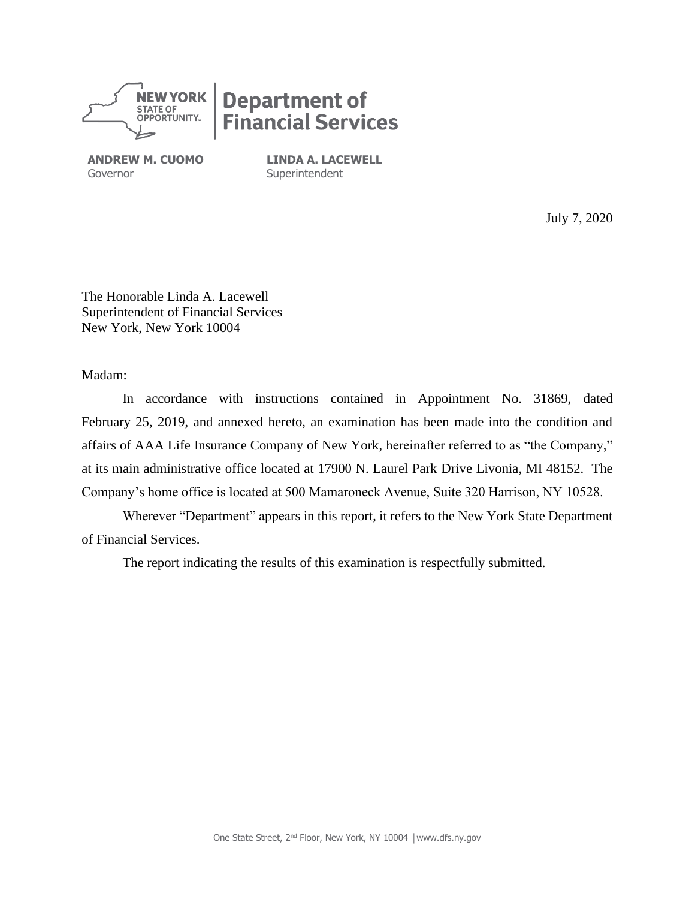

# **Department of<br>Financial Services**

**ANDREW M. CUOMO** Governor

**LINDA A. LACEWELL** Superintendent

July 7, 2020

The Honorable Linda A. Lacewell Superintendent of Financial Services New York, New York 10004

Madam:

In accordance with instructions contained in Appointment No. 31869, dated February 25, 2019, and annexed hereto, an examination has been made into the condition and affairs of AAA Life Insurance Company of New York, hereinafter referred to as "the Company," at its main administrative office located at 17900 N. Laurel Park Drive Livonia, MI 48152. The Company's home office is located at 500 Mamaroneck Avenue, Suite 320 Harrison, NY 10528.

Wherever "Department" appears in this report, it refers to the New York State Department of Financial Services.

The report indicating the results of this examination is respectfully submitted.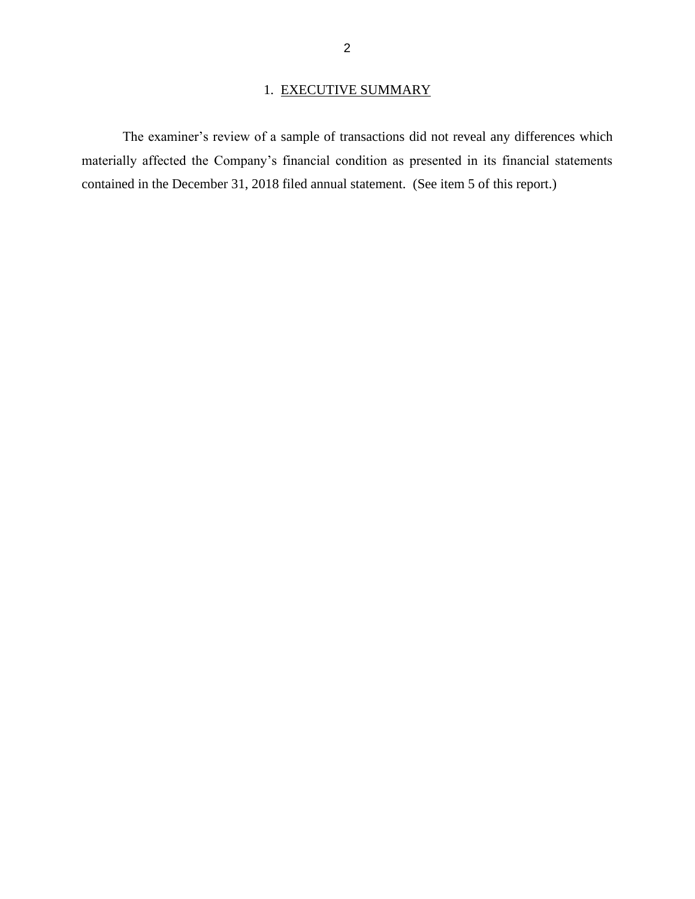## 1. EXECUTIVE SUMMARY

The examiner's review of a sample of transactions did not reveal any differences which materially affected the Company's financial condition as presented in its financial statements contained in the December 31, 2018 filed annual statement. (See item 5 of this report.)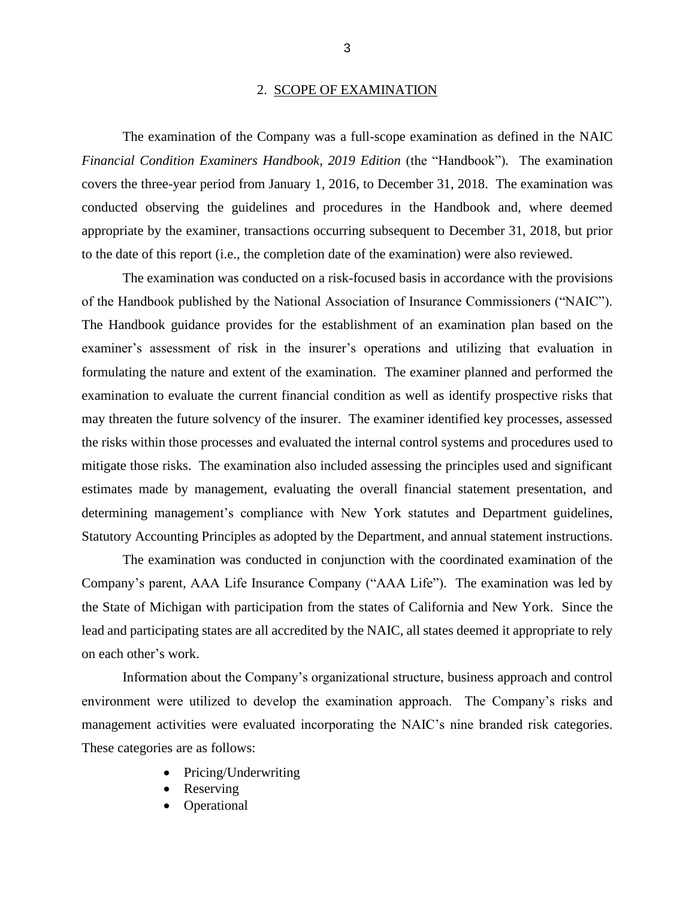#### 2. SCOPE OF EXAMINATION

The examination of the Company was a full-scope examination as defined in the NAIC *Financial Condition Examiners Handbook, 2019 Edition* (the "Handbook")*.* The examination covers the three-year period from January 1, 2016, to December 31, 2018. The examination was conducted observing the guidelines and procedures in the Handbook and, where deemed appropriate by the examiner, transactions occurring subsequent to December 31, 2018, but prior to the date of this report (i.e., the completion date of the examination) were also reviewed.

The examination was conducted on a risk-focused basis in accordance with the provisions of the Handbook published by the National Association of Insurance Commissioners ("NAIC"). The Handbook guidance provides for the establishment of an examination plan based on the examiner's assessment of risk in the insurer's operations and utilizing that evaluation in formulating the nature and extent of the examination. The examiner planned and performed the examination to evaluate the current financial condition as well as identify prospective risks that may threaten the future solvency of the insurer. The examiner identified key processes, assessed the risks within those processes and evaluated the internal control systems and procedures used to mitigate those risks. The examination also included assessing the principles used and significant estimates made by management, evaluating the overall financial statement presentation, and determining management's compliance with New York statutes and Department guidelines, Statutory Accounting Principles as adopted by the Department, and annual statement instructions.

The examination was conducted in conjunction with the coordinated examination of the Company's parent, AAA Life Insurance Company ("AAA Life"). The examination was led by the State of Michigan with participation from the states of California and New York. Since the lead and participating states are all accredited by the NAIC, all states deemed it appropriate to rely on each other's work.

Information about the Company's organizational structure, business approach and control environment were utilized to develop the examination approach. The Company's risks and management activities were evaluated incorporating the NAIC's nine branded risk categories. These categories are as follows:

- Pricing/Underwriting
- **Reserving**
- **Operational**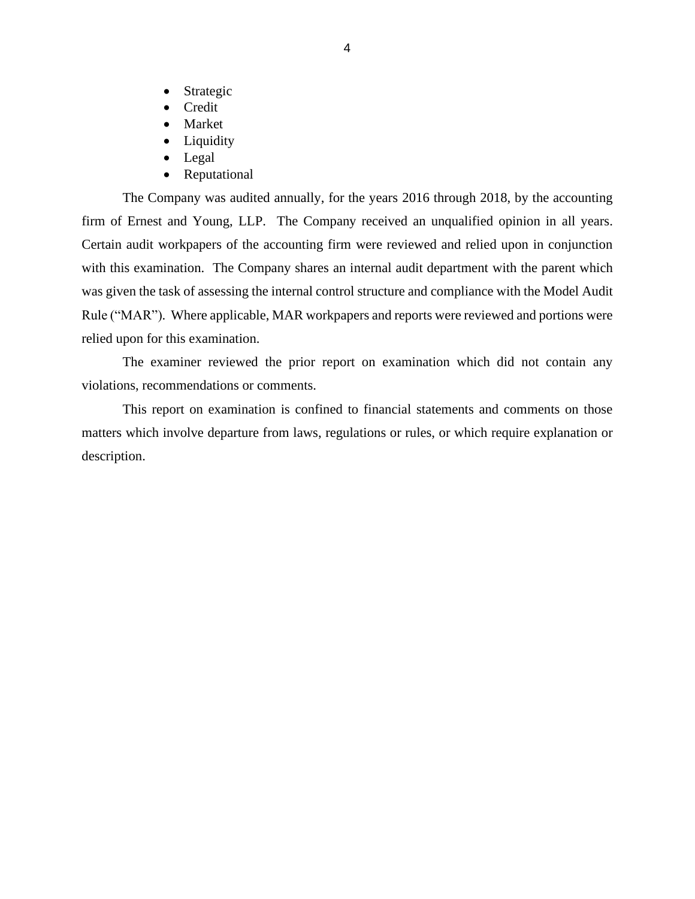- Strategic
- Credit
- **Market**
- Liquidity
- Legal
- Reputational

The Company was audited annually, for the years 2016 through 2018, by the accounting firm of Ernest and Young, LLP. The Company received an unqualified opinion in all years. Certain audit workpapers of the accounting firm were reviewed and relied upon in conjunction with this examination. The Company shares an internal audit department with the parent which was given the task of assessing the internal control structure and compliance with the Model Audit Rule ("MAR"). Where applicable, MAR workpapers and reports were reviewed and portions were relied upon for this examination.

The examiner reviewed the prior report on examination which did not contain any violations, recommendations or comments.

This report on examination is confined to financial statements and comments on those matters which involve departure from laws, regulations or rules, or which require explanation or description.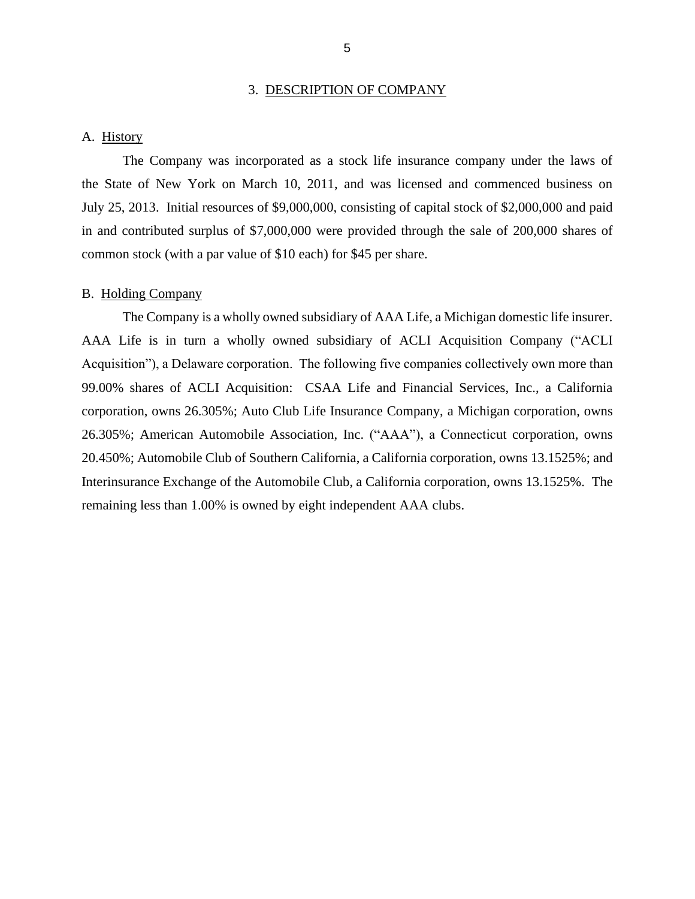#### 3. DESCRIPTION OF COMPANY

#### A. History

The Company was incorporated as a stock life insurance company under the laws of the State of New York on March 10, 2011, and was licensed and commenced business on July 25, 2013. Initial resources of \$9,000,000, consisting of capital stock of \$2,000,000 and paid in and contributed surplus of \$7,000,000 were provided through the sale of 200,000 shares of common stock (with a par value of \$10 each) for \$45 per share.

#### B. Holding Company

The Company is a wholly owned subsidiary of AAA Life, a Michigan domestic life insurer. AAA Life is in turn a wholly owned subsidiary of ACLI Acquisition Company ("ACLI Acquisition"), a Delaware corporation. The following five companies collectively own more than 99.00% shares of ACLI Acquisition: CSAA Life and Financial Services, Inc., a California corporation, owns 26.305%; Auto Club Life Insurance Company, a Michigan corporation, owns 26.305%; American Automobile Association, Inc. ("AAA"), a Connecticut corporation, owns 20.450%; Automobile Club of Southern California, a California corporation, owns 13.1525%; and Interinsurance Exchange of the Automobile Club, a California corporation, owns 13.1525%. The remaining less than 1.00% is owned by eight independent AAA clubs.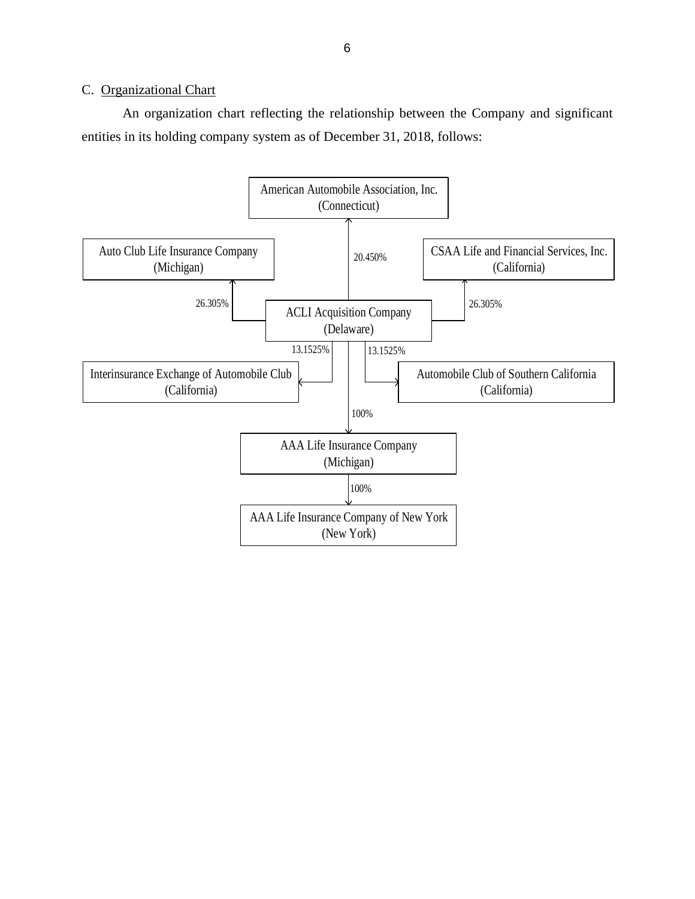#### C. Organizational Chart

An organization chart reflecting the relationship between the Company and significant entities in its holding company system as of December 31, 2018, follows:

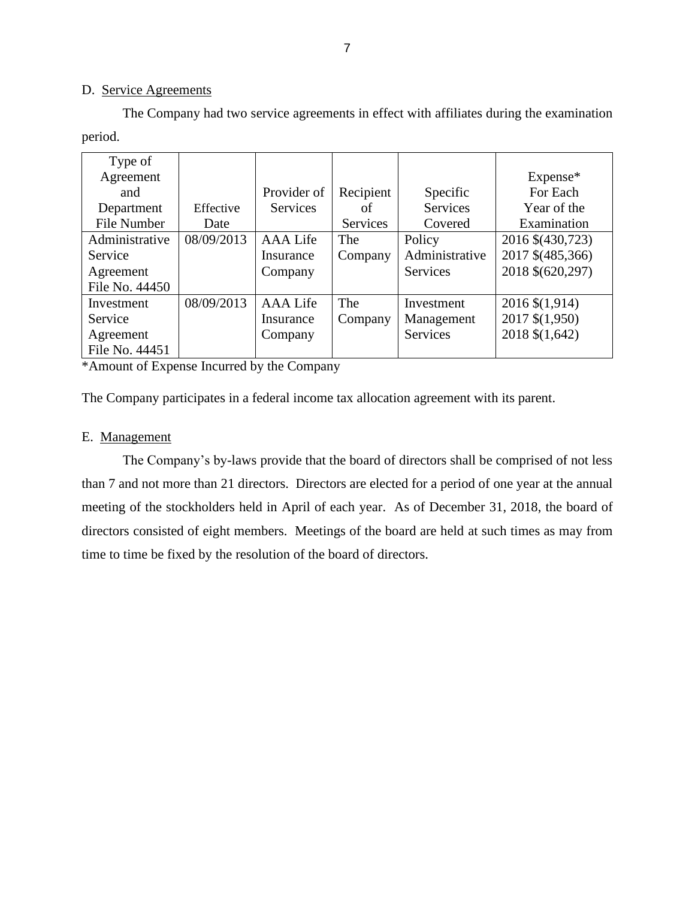#### D. Service Agreements

The Company had two service agreements in effect with affiliates during the examination period.

| Type of        |            |                 |           |                 |                  |
|----------------|------------|-----------------|-----------|-----------------|------------------|
| Agreement      |            |                 |           |                 | Expense*         |
| and            |            | Provider of     | Recipient | Specific        | For Each         |
| Department     | Effective  | <b>Services</b> | οf        | <b>Services</b> | Year of the      |
| File Number    | Date       |                 | Services  | Covered         | Examination      |
| Administrative | 08/09/2013 | <b>AAA</b> Life | The       | Policy          | 2016 \$(430,723) |
| Service        |            | Insurance       | Company   | Administrative  | 2017 \$(485,366) |
| Agreement      |            | Company         |           | <b>Services</b> | 2018 \$(620,297) |
| File No. 44450 |            |                 |           |                 |                  |
| Investment     | 08/09/2013 | <b>AAA</b> Life | The       | Investment      | 2016 \$(1,914)   |
| Service        |            | Insurance       | Company   | Management      | 2017 \$(1,950)   |
| Agreement      |            | Company         |           | Services        | 2018 \$(1,642)   |
| File No. 44451 |            |                 |           |                 |                  |

\*Amount of Expense Incurred by the Company

The Company participates in a federal income tax allocation agreement with its parent.

#### E. Management

The Company's by-laws provide that the board of directors shall be comprised of not less than 7 and not more than 21 directors. Directors are elected for a period of one year at the annual meeting of the stockholders held in April of each year. As of December 31, 2018, the board of directors consisted of eight members. Meetings of the board are held at such times as may from time to time be fixed by the resolution of the board of directors.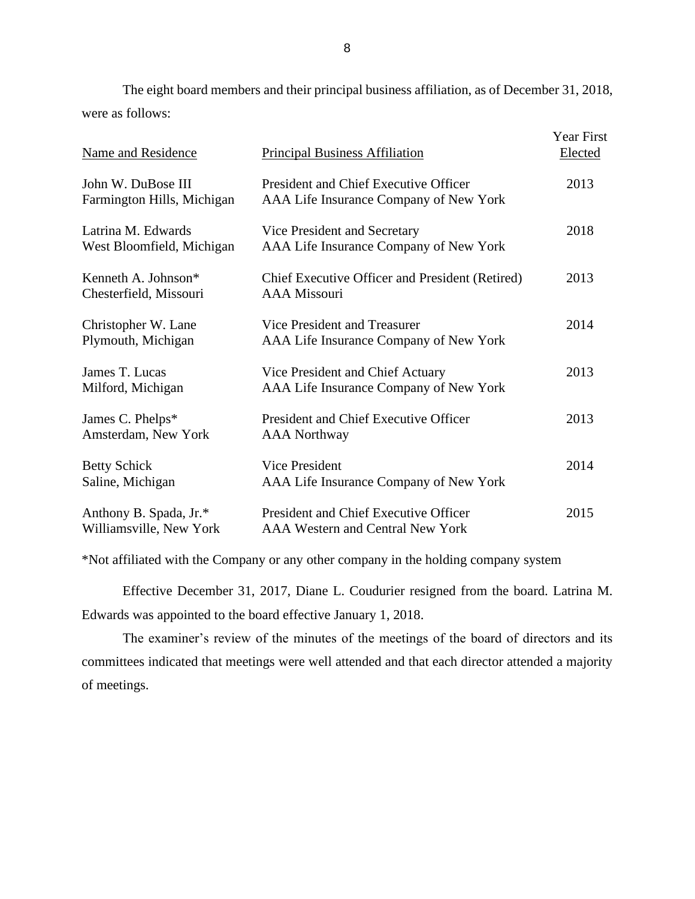The eight board members and their principal business affiliation, as of December 31, 2018, were as follows:

| Name and Residence                                | <b>Principal Business Affiliation</b>                                            | <b>Year First</b><br>Elected |
|---------------------------------------------------|----------------------------------------------------------------------------------|------------------------------|
| John W. DuBose III<br>Farmington Hills, Michigan  | President and Chief Executive Officer<br>AAA Life Insurance Company of New York  | 2013                         |
| Latrina M. Edwards<br>West Bloomfield, Michigan   | Vice President and Secretary<br>AAA Life Insurance Company of New York           | 2018                         |
| Kenneth A. Johnson*<br>Chesterfield, Missouri     | Chief Executive Officer and President (Retired)<br><b>AAA Missouri</b>           | 2013                         |
| Christopher W. Lane<br>Plymouth, Michigan         | Vice President and Treasurer<br>AAA Life Insurance Company of New York           | 2014                         |
| James T. Lucas<br>Milford, Michigan               | Vice President and Chief Actuary<br>AAA Life Insurance Company of New York       | 2013                         |
| James C. Phelps*<br>Amsterdam, New York           | President and Chief Executive Officer<br><b>AAA</b> Northway                     | 2013                         |
| <b>Betty Schick</b><br>Saline, Michigan           | <b>Vice President</b><br>AAA Life Insurance Company of New York                  | 2014                         |
| Anthony B. Spada, Jr.*<br>Williamsville, New York | President and Chief Executive Officer<br><b>AAA Western and Central New York</b> | 2015                         |

\*Not affiliated with the Company or any other company in the holding company system

Effective December 31, 2017, Diane L. Coudurier resigned from the board. Latrina M. Edwards was appointed to the board effective January 1, 2018.

The examiner's review of the minutes of the meetings of the board of directors and its committees indicated that meetings were well attended and that each director attended a majority of meetings.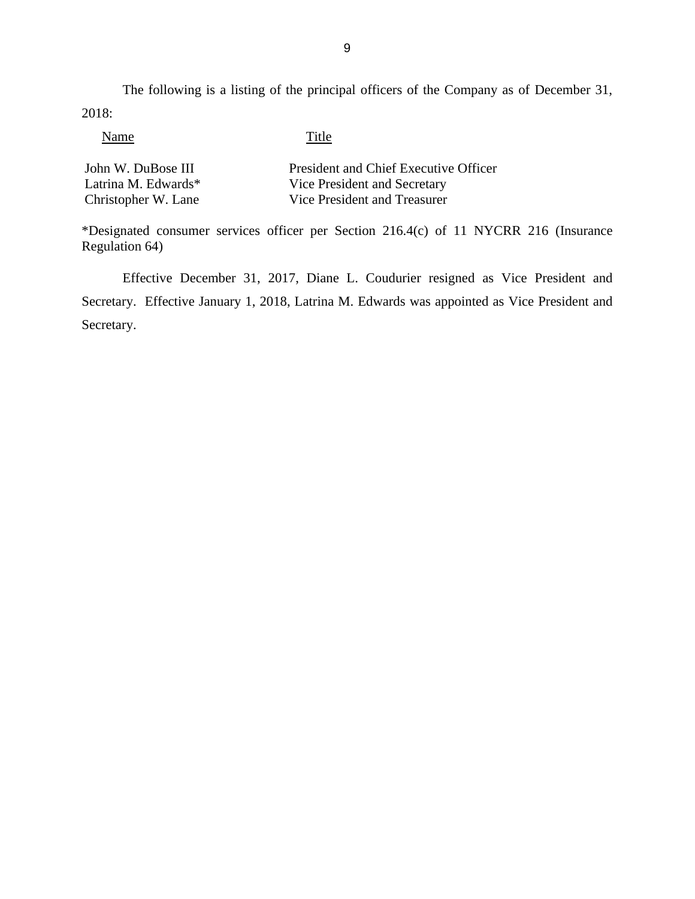The following is a listing of the principal officers of the Company as of December 31, 2018:

Name Title

| John W. DuBose III  | President and Chief Executive Officer |
|---------------------|---------------------------------------|
| Latrina M. Edwards* | Vice President and Secretary          |
| Christopher W. Lane | Vice President and Treasurer          |

\*Designated consumer services officer per Section 216.4(c) of 11 NYCRR 216 (Insurance Regulation 64)

Effective December 31, 2017, Diane L. Coudurier resigned as Vice President and Secretary. Effective January 1, 2018, Latrina M. Edwards was appointed as Vice President and Secretary.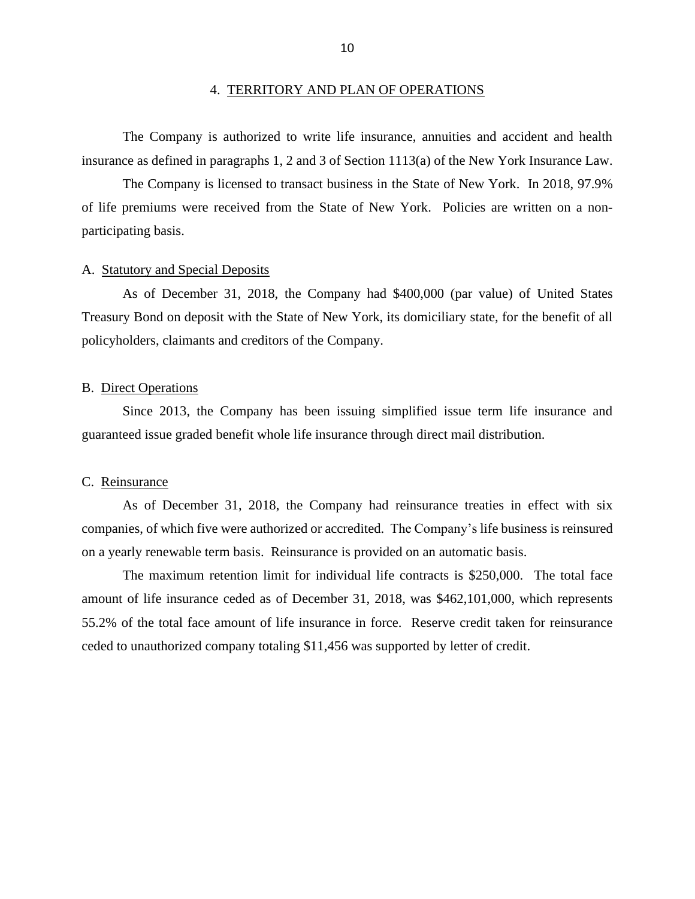The Company is authorized to write life insurance, annuities and accident and health insurance as defined in paragraphs 1, 2 and 3 of Section 1113(a) of the New York Insurance Law.

The Company is licensed to transact business in the State of New York. In 2018, 97.9% of life premiums were received from the State of New York. Policies are written on a nonparticipating basis.

#### A. Statutory and Special Deposits

As of December 31, 2018, the Company had \$400,000 (par value) of United States Treasury Bond on deposit with the State of New York, its domiciliary state, for the benefit of all policyholders, claimants and creditors of the Company.

#### B. Direct Operations

Since 2013, the Company has been issuing simplified issue term life insurance and guaranteed issue graded benefit whole life insurance through direct mail distribution.

#### C. Reinsurance

As of December 31, 2018, the Company had reinsurance treaties in effect with six companies, of which five were authorized or accredited. The Company's life business is reinsured on a yearly renewable term basis. Reinsurance is provided on an automatic basis.

The maximum retention limit for individual life contracts is \$250,000. The total face amount of life insurance ceded as of December 31, 2018, was \$462,101,000, which represents 55.2% of the total face amount of life insurance in force. Reserve credit taken for reinsurance ceded to unauthorized company totaling \$11,456 was supported by letter of credit.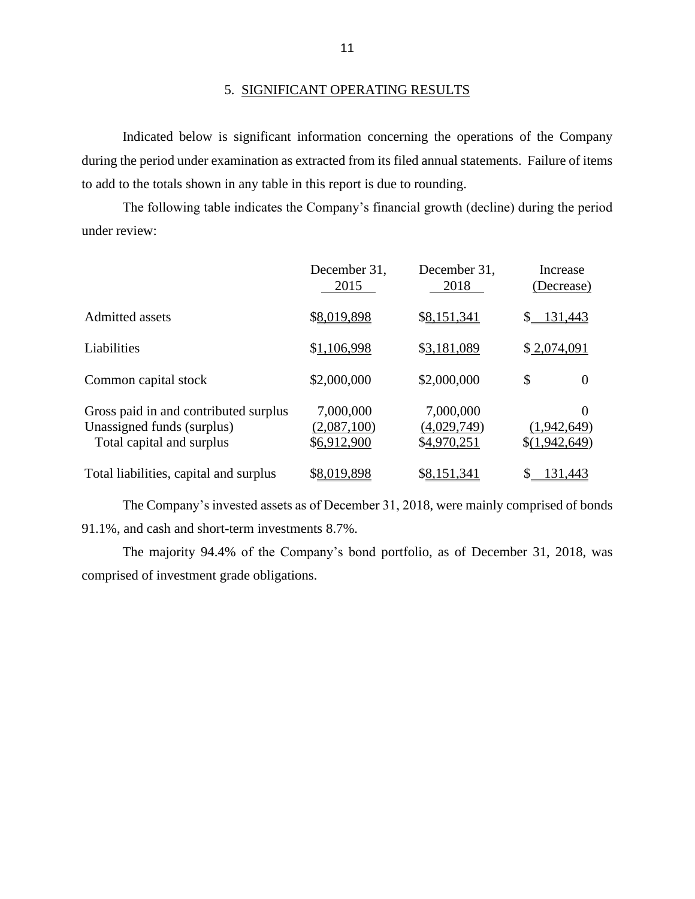## 5. SIGNIFICANT OPERATING RESULTS

Indicated below is significant information concerning the operations of the Company during the period under examination as extracted from its filed annual statements. Failure of items to add to the totals shown in any table in this report is due to rounding.

The following table indicates the Company's financial growth (decline) during the period under review:

|                                                                                                  | December 31,<br>2015                    | December 31,<br>2018                    | Increase<br>(Decrease)                   |
|--------------------------------------------------------------------------------------------------|-----------------------------------------|-----------------------------------------|------------------------------------------|
| Admitted assets                                                                                  | \$8,019,898                             | \$8,151,341                             | 131,443                                  |
| Liabilities                                                                                      | \$1,106,998                             | \$3,181,089                             | \$2,074,091                              |
| Common capital stock                                                                             | \$2,000,000                             | \$2,000,000                             | \$<br>$\Omega$                           |
| Gross paid in and contributed surplus<br>Unassigned funds (surplus)<br>Total capital and surplus | 7,000,000<br>(2,087,100)<br>\$6,912,900 | 7,000,000<br>(4,029,749)<br>\$4,970,251 | $\Omega$<br>(1,942,649)<br>\$(1,942,649) |
| Total liabilities, capital and surplus                                                           | \$8,019,898                             | \$8,151,341                             | 131,443                                  |

The Company's invested assets as of December 31, 2018, were mainly comprised of bonds 91.1%, and cash and short-term investments 8.7%.

The majority 94.4% of the Company's bond portfolio, as of December 31, 2018, was comprised of investment grade obligations.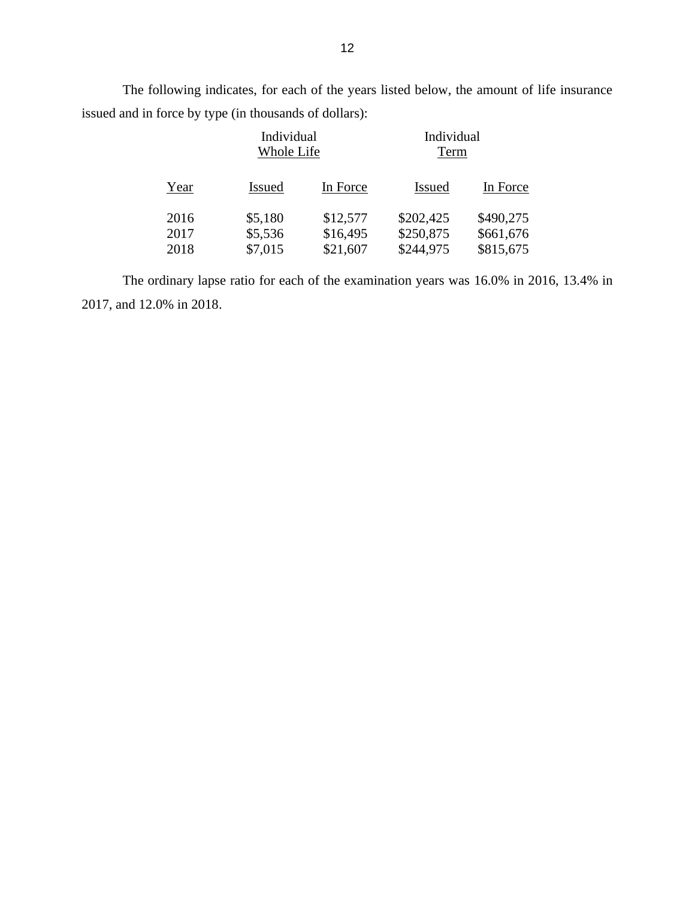The following indicates, for each of the years listed below, the amount of life insurance issued and in force by type (in thousands of dollars):

|      |               | Individual<br>Whole Life |               | Individual<br>Term |
|------|---------------|--------------------------|---------------|--------------------|
| Year | <b>Issued</b> | In Force                 | <b>Issued</b> | In Force           |
| 2016 | \$5,180       | \$12,577                 | \$202,425     | \$490,275          |
| 2017 | \$5,536       | \$16,495                 | \$250,875     | \$661,676          |
| 2018 | \$7,015       | \$21,607                 | \$244,975     | \$815,675          |

The ordinary lapse ratio for each of the examination years was 16.0% in 2016, 13.4% in 2017, and 12.0% in 2018.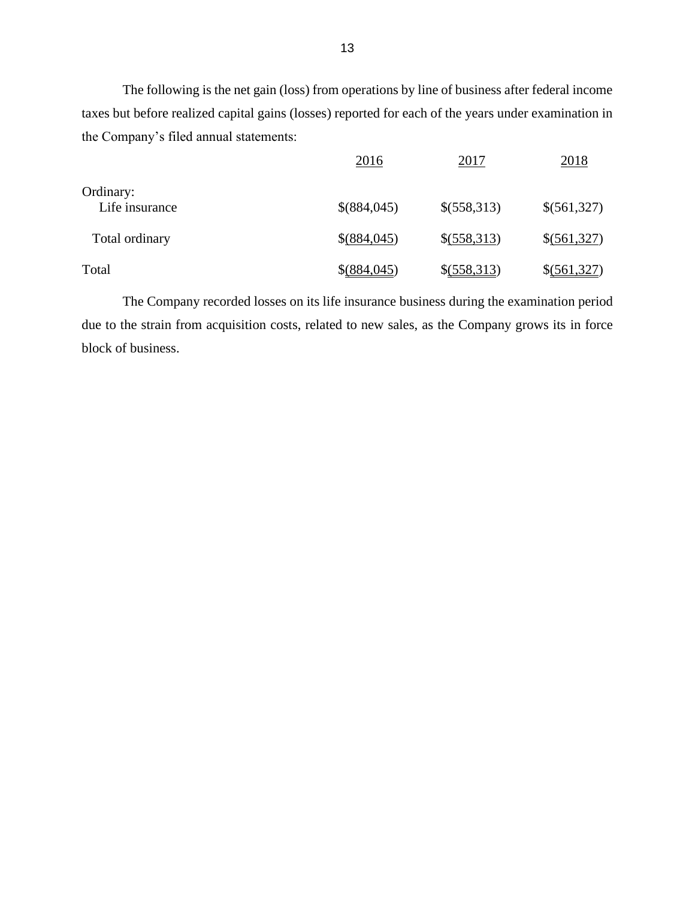The following is the net gain (loss) from operations by line of business after federal income taxes but before realized capital gains (losses) reported for each of the years under examination in the Company's filed annual statements:

|                | 2016          | 2017          | 2018        |
|----------------|---------------|---------------|-------------|
| Ordinary:      |               |               |             |
| Life insurance | \$(884,045)   | \$(558,313)   | \$(561,327) |
| Total ordinary | \$(884,045)   | \$(558,313)   | \$(561,327) |
| Total          | $$$ (884,045) | $$$ (558,313) | \$(561,327) |

The Company recorded losses on its life insurance business during the examination period due to the strain from acquisition costs, related to new sales, as the Company grows its in force block of business.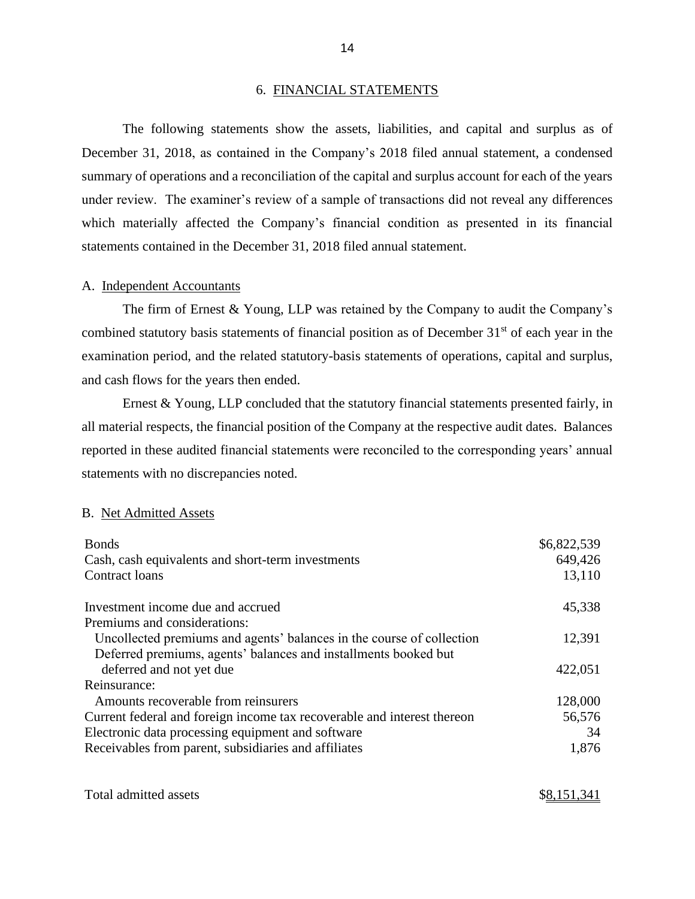#### 6. FINANCIAL STATEMENTS

The following statements show the assets, liabilities, and capital and surplus as of December 31, 2018, as contained in the Company's 2018 filed annual statement, a condensed summary of operations and a reconciliation of the capital and surplus account for each of the years under review. The examiner's review of a sample of transactions did not reveal any differences which materially affected the Company's financial condition as presented in its financial statements contained in the December 31, 2018 filed annual statement.

#### A. Independent Accountants

The firm of Ernest & Young, LLP was retained by the Company to audit the Company's combined statutory basis statements of financial position as of December 31<sup>st</sup> of each year in the examination period, and the related statutory-basis statements of operations, capital and surplus, and cash flows for the years then ended.

Ernest & Young, LLP concluded that the statutory financial statements presented fairly, in all material respects, the financial position of the Company at the respective audit dates. Balances reported in these audited financial statements were reconciled to the corresponding years' annual statements with no discrepancies noted.

#### B. Net Admitted Assets

| <b>Bonds</b>                                                            | \$6,822,539 |
|-------------------------------------------------------------------------|-------------|
| Cash, cash equivalents and short-term investments                       | 649,426     |
| Contract loans                                                          | 13,110      |
| Investment income due and accrued                                       | 45,338      |
| Premiums and considerations:                                            |             |
| Uncollected premiums and agents' balances in the course of collection   | 12,391      |
| Deferred premiums, agents' balances and installments booked but         |             |
| deferred and not yet due                                                | 422,051     |
| Reinsurance:                                                            |             |
| Amounts recoverable from reinsurers                                     | 128,000     |
| Current federal and foreign income tax recoverable and interest thereon | 56,576      |
| Electronic data processing equipment and software                       | 34          |
| Receivables from parent, subsidiaries and affiliates                    | 1,876       |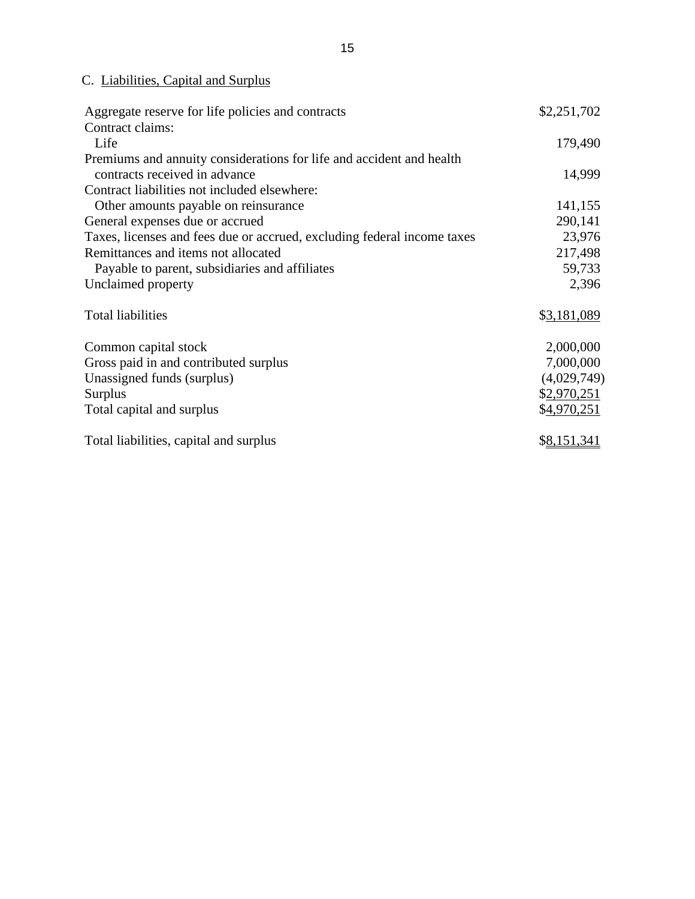## C. Liabilities, Capital and Surplus

| Aggregate reserve for life policies and contracts                       | \$2,251,702 |
|-------------------------------------------------------------------------|-------------|
| Contract claims:                                                        |             |
| Life                                                                    | 179,490     |
| Premiums and annuity considerations for life and accident and health    |             |
| contracts received in advance                                           | 14,999      |
| Contract liabilities not included elsewhere:                            |             |
| Other amounts payable on reinsurance                                    | 141,155     |
| General expenses due or accrued                                         | 290,141     |
| Taxes, licenses and fees due or accrued, excluding federal income taxes | 23,976      |
| Remittances and items not allocated                                     | 217,498     |
| Payable to parent, subsidiaries and affiliates                          | 59,733      |
| Unclaimed property                                                      | 2,396       |
| <b>Total liabilities</b>                                                | \$3,181,089 |
| Common capital stock                                                    | 2,000,000   |
| Gross paid in and contributed surplus                                   | 7,000,000   |
| Unassigned funds (surplus)                                              | (4,029,749) |
| Surplus                                                                 | \$2,970,251 |
| Total capital and surplus                                               | \$4,970,251 |
| Total liabilities, capital and surplus                                  | \$8,151,341 |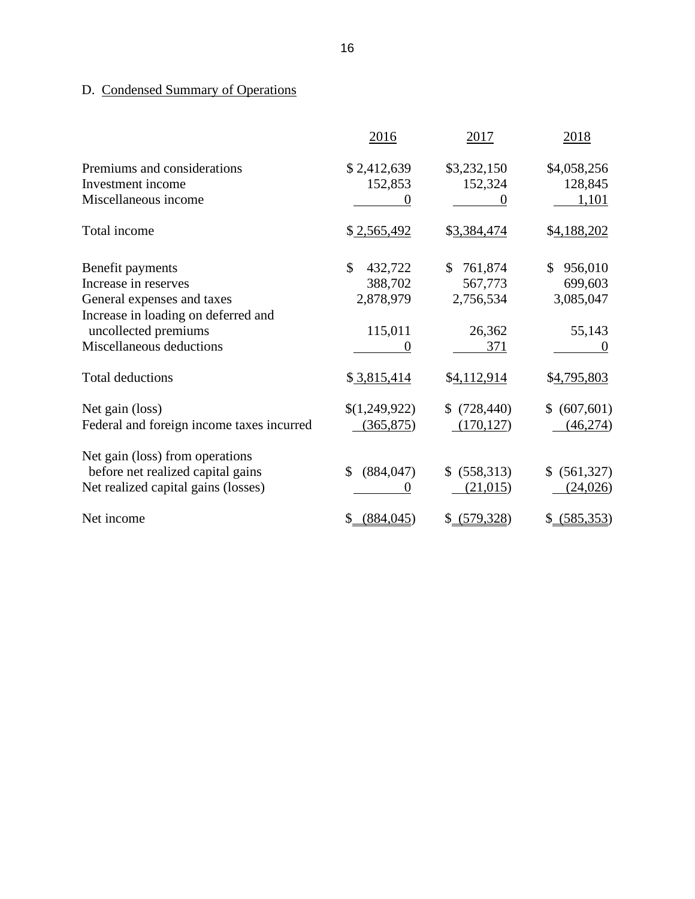## D. Condensed Summary of Operations

|                                                             | 2016                     | 2017                         | 2018                       |
|-------------------------------------------------------------|--------------------------|------------------------------|----------------------------|
| Premiums and considerations                                 | \$2,412,639              | \$3,232,150                  | \$4,058,256                |
| Investment income                                           | 152,853                  | 152,324                      | 128,845                    |
| Miscellaneous income                                        |                          |                              | 1,101                      |
| Total income                                                | \$2,565,492              | \$3,384,474                  | \$4,188,202                |
| Benefit payments                                            | $\mathcal{S}$<br>432,722 | \$<br>761,874                | 956,010<br>\$              |
| Increase in reserves                                        | 388,702                  | 567,773                      | 699,603                    |
| General expenses and taxes                                  | 2,878,979                | 2,756,534                    | 3,085,047                  |
| Increase in loading on deferred and<br>uncollected premiums | 115,011                  | 26,362                       | 55,143                     |
| Miscellaneous deductions                                    | 0                        | 371                          | $\theta$                   |
| <b>Total deductions</b>                                     | \$3,815,414              | \$4,112,914                  | \$4,795,803                |
| Net gain (loss)                                             | \$(1,249,922)            | (728, 440)<br>$\mathbb{S}^-$ | (607, 601)<br>$\mathbb{S}$ |
| Federal and foreign income taxes incurred                   | (365, 875)               | (170, 127)                   | (46, 274)                  |
| Net gain (loss) from operations                             |                          |                              |                            |
| before net realized capital gains                           | (884, 047)<br>\$         | (558, 313)<br>\$             | (561, 327)<br>\$           |
| Net realized capital gains (losses)                         | $\theta$                 | (21,015)                     | (24, 026)                  |
| Net income                                                  | (884, 045)<br>\$         | \$ (579, 328)                | \$ (585,353)               |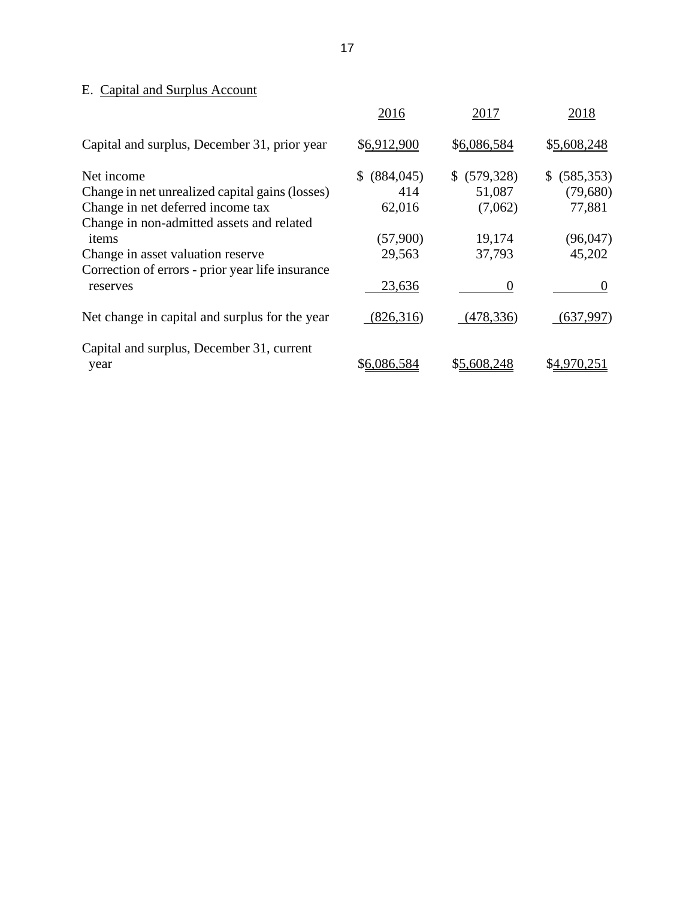## E. Capital and Surplus Account

|                                                  | 2016              | 2017         | 2018             |
|--------------------------------------------------|-------------------|--------------|------------------|
| Capital and surplus, December 31, prior year     | \$6,912,900       | \$6,086,584  | \$5,608,248      |
| Net income                                       | (884, 045)<br>SS. | \$ (579,328) | (585, 353)<br>S. |
| Change in net unrealized capital gains (losses)  | 414               | 51,087       | (79,680)         |
| Change in net deferred income tax                | 62,016            | (7,062)      | 77,881           |
| Change in non-admitted assets and related        |                   |              |                  |
| items                                            | (57,900)          | 19,174       | (96,047)         |
| Change in asset valuation reserve                | 29,563            | 37,793       | 45,202           |
| Correction of errors - prior year life insurance |                   |              |                  |
| reserves                                         | 23,636            | 0            |                  |
| Net change in capital and surplus for the year   | (826,316)         | (478, 336)   | (637,997)        |
| Capital and surplus, December 31, current        |                   |              |                  |
| year                                             | \$6,086,584       | \$5,608,248  | \$4,970,251      |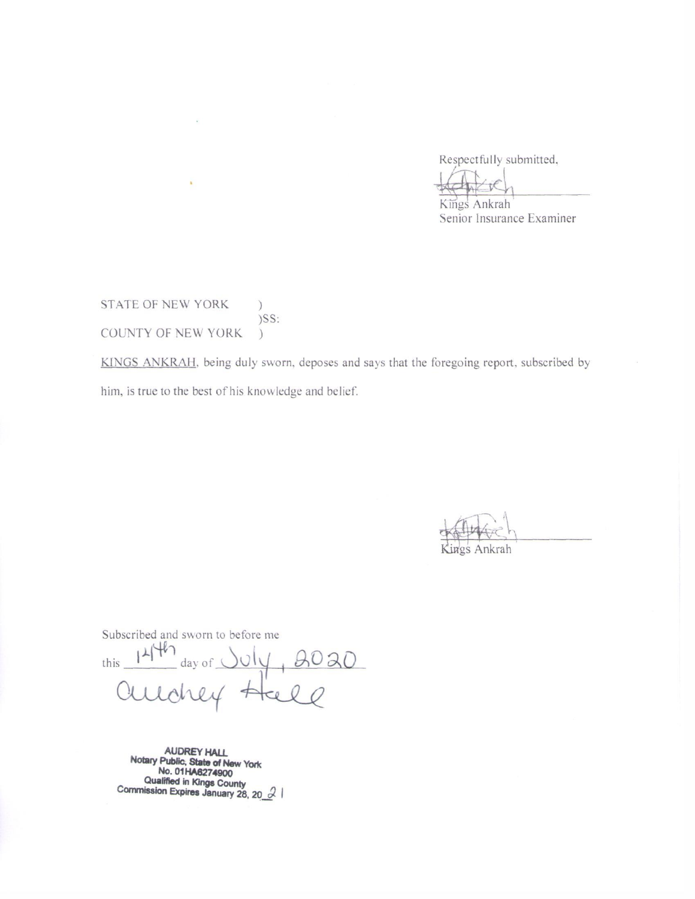Respectfully submitted,

Kings Ankrah Senior Insurance Examiner

STATE OF NEW YORK  $\mathcal{C}$  $)$ SS: COUNTY OF NEW YORK  $\mathcal{L}$ 

à.

KINGS ANKRAH, being duly sworn, deposes and says that the foregoing report, subscribed by him, is true to the best of his knowledge and belief.

Kings Ankrah

Subscribed and sworn to before me

this  $141$  day of  $\frac{1}{2}$ 2020  $101$ rrey

AUDREY HALL<br>Notary Public, State of New York<br>No. 01HA6274900 Qualified in Kings County<br>Commission Expires January 28, 20  $\beta$